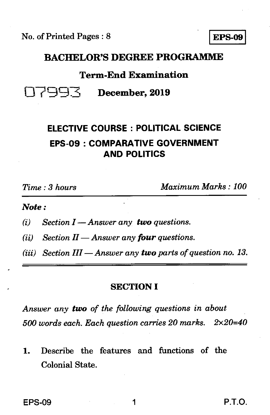No. of Printed Pages : 8 **EPS-09** 

## **BACHELOR'S DEGREE PROGRAMME**

## **Term-End Examination**

## 1-1799.4-c **December, 2019**

## **ELECTIVE COURSE : POLITICAL SCIENCE EPS-09 : COMPARATIVE GOVERNMENT AND POLITICS**

*Time : 3 hours Maximum Marks : 100* 

#### *Note :*

*(i) Section I — Answer any two questions.* 

 $(iii)$  *Section II — Answer any four questions.* 

*(iii) Section III — Answer any two parts of question no. 13.* 

## **SECTION I**

*Answer any two of the following questions in about 500 words each. Each question carries 20 marks. 2x20=40* 

**1.** Describe the features and functions of the Colonial State.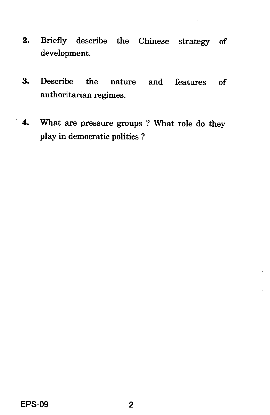- 2. Briefly describe the Chinese strategy of development.
- 3. Describe the nature and features of authoritarian regimes.
- 4. What are pressure groups ? What role do they play in democratic politics ?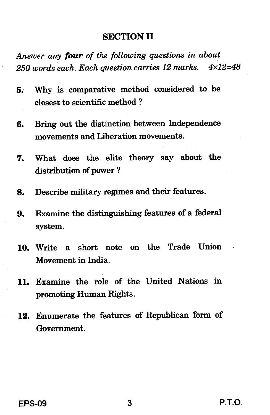### SECTION II

*Answer any four of the following questions in about 250 words each. Each question carries 12 marks. 4x12.48* 

- 5. Why is comparative method considered to be closest to scientific method ?
- 6. Bring out the distinction between Independence movements and Liberation movements.
- 7. What does the elite theory say about the distribution of power ?
- 8. Describe military regimes and their features.
- 9. Examine the distinguishing features of a federal system.
- 10. Write a short note on the Trade Union Movement in India.
- 11. Examine the role of the United Nations in promoting Human Rights.
- 12. Enumerate the features of Republican form of Government.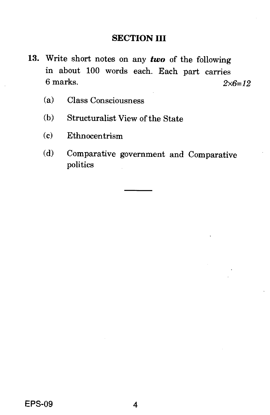## **SECTION III**

- **13.** Write short notes on any *two* of the following in about 100 words each. Each part carries 6 marks. *2x6=12* 
	- (a) Class Consciousness
	- (b) Structuralist View of the State
	- (c) Ethnocentrism
	- (d) Comparative government and Comparative politics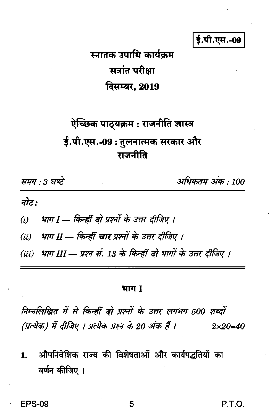ई.पी.एस.-09

# स्नातक उपाधि कार्यकम सत्रांत परीक्षा दिसम्बर, 2019

# ऐच्छिक पाठ्यक्रम : राजनीति शास्त्र ई.पी.एस.-09: तुलनात्मक सरकार और गजनीति

समय : 3 घण्टे

अधिकतम अंक : 100

नोट:

भाग I — किन्हीं दो प्रश्नों के उत्तर दीजिए ।  $(i)$ 

(ii) भाग II — किन्हीं **चार** प्रश्नों के उत्तर दीजिए ।

(iii) भाग III — प्रश्न सं. 13 के किन्हीं दो भागों के उत्तर दीजिए ।

#### भाग I

निम्नलिखित में से किन्हीं दो प्रश्नों के उत्तर लगभग 500 शब्दों (प्रत्येक) में दीजिए । प्रत्येक प्रश्न के 20 अंक हैं ।  $2 \times 20 = 40$ 

औपनिवेशिक राज्य की विशेषताओं और कार्यपद्धतियों का  $\mathbf{1}$ . वर्णन कीजिए ।

P.T.O.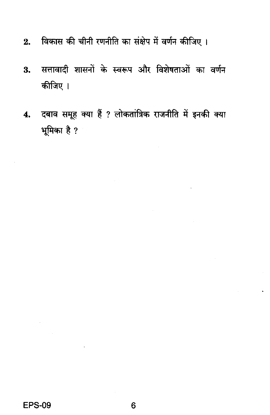- विकास की चीनी रणनीति का संक्षेप में वर्णन कीजिए।  $2.$
- सत्तावादी शासनों के स्वरूप और विशेषताओं का वर्णन  $\overline{\mathbf{3}}$ . कीजिए ।
- 4. दबाव समूह क्या हैं ? लोकतांत्रिक राजनीति में इनकी क्या भूमिका है ?

 $\sim$ 

 $\ddot{\phantom{a}}$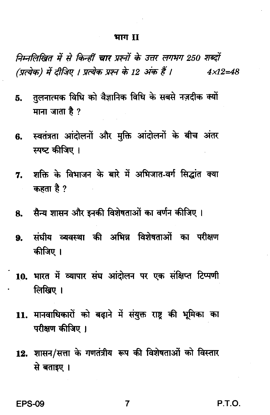#### भाग II

निम्नलिखित में से किन्हीं चार प्रश्नों के उत्तर लगभग 250 शब्दों (प्रत्येक) में दीजिए । प्रत्येक प्रश्न के 12 अंक हैं ।  $4 \times 12 = 48$ 

- तुलनात्मक विधि को वैज्ञानिक विधि के सबसे नज़दीक क्यों Б. माना जाता है ?
- स्वतंत्रता आंदोलनों और मुक्ति आंदोलनों के बीच अंतर 6. स्पष्ट कीजिए ।
- शक्ति के विभाजन के बारे में अभिजात-वर्ग सिद्धांत क्या  $7.$ कहता है ?
- 8. सैन्य शासन और इनकी विशेषताओं का वर्णन कीजिए ।
- संघीय व्यवस्था की अभिन्न विशेषताओं का परीक्षण  $9<sub>z</sub>$ कीजिए ।
- 10. भारत में व्यापार संघ आंदोलन पर एक संक्षिप्त टिप्पणी लिखिए ।
- 11. मानवाधिकारों को बढ़ाने में संयुक्त राष्ट की भूमिका का परीक्षण कीजिए ।
- 12. शासन/सत्ता के गणतंत्रीय रूप की विशेषताओं को विस्तार से बताइए ।

**EPS-09** 

P.T.O.

7